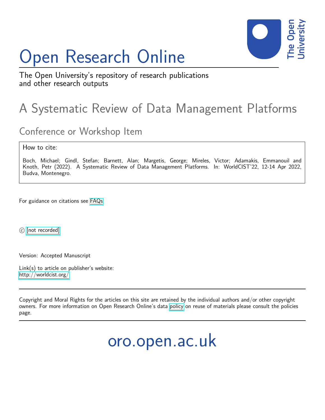# Open Research Online



The Open University's repository of research publications and other research outputs

## A Systematic Review of Data Management Platforms

### Conference or Workshop Item

How to cite:

Boch, Michael; Gindl, Stefan; Barnett, Alan; Margetis, George; Mireles, Victor; Adamakis, Emmanouil and Knoth, Petr (2022). A Systematic Review of Data Management Platforms. In: WorldCIST'22, 12-14 Apr 2022, Budva, Montenegro.

For guidance on citations see [FAQs.](http://oro.open.ac.uk/help/helpfaq.html)

c [\[not recorded\]](http://oro.open.ac.uk/help/helpfaq.html#Unrecorded_information_on_coversheet)

Version: Accepted Manuscript

Link(s) to article on publisher's website: <http://worldcist.org/>

Copyright and Moral Rights for the articles on this site are retained by the individual authors and/or other copyright owners. For more information on Open Research Online's data [policy](http://oro.open.ac.uk/policies.html) on reuse of materials please consult the policies page.

oro.open.ac.uk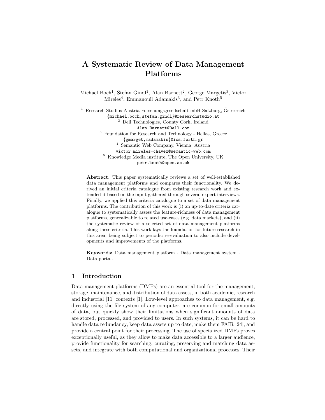#### A Systematic Review of Data Management Platforms

Michael Boch<sup>1</sup>, Stefan Gindl<sup>1</sup>, Alan Barnett<sup>2</sup>, George Margetis<sup>3</sup>, Victor Mireles<sup>4</sup>, Emmanouil Adamakis<sup>3</sup>, and Petr Knoth<sup>5</sup>

<sup>1</sup> Research Studios Austria Forschungsgesellschaft mbH Salzburg, Österreich {michael.boch,stefan.gindl}@researchstudio.at <sup>2</sup> Dell Technologies, County Cork, Ireland Alan.Barnett@Dell.com <sup>3</sup> Foundation for Research and Technology - Hellas, Greece {gmarget,madamakis}@ics.forth.gr <sup>4</sup> Semantic Web Company, Vienna, Austria victor.mireles-chavez@semantic-web.com <sup>5</sup> Knowledge Media institute, The Open University, UK petr.knoth@open.ac.uk

Abstract. This paper systematically reviews a set of well-established data management platforms and compares their functionality. We derived an initial criteria catalogue from existing research work and extended it based on the input gathered through several expert interviews. Finally, we applied this criteria catalogue to a set of data management platforms. The contribution of this work is (i) an up-to-date criteria catalogue to systematically assess the feature-richness of data management platforms, generalizable to related use-cases (e.g. data markets), and (ii) the systematic review of a selected set of data management platforms along these criteria. This work lays the foundation for future research in this area, being subject to periodic re-evaluation to also include developments and improvements of the platforms.

Keywords: Data management platform · Data management system · Data portal.

#### 1 Introduction

Data management platforms (DMPs) are an essential tool for the management, storage, maintenance, and distribution of data assets, in both academic, research and industrial [11] contexts [1]. Low-level approaches to data management, e.g. directly using the file system of any computer, are common for small amounts of data, but quickly show their limitations when significant amounts of data are stored, processed, and provided to users. In such systems, it can be hard to handle data redundancy, keep data assets up to date, make them FAIR [24], and provide a central point for their processing. The use of specialized DMPs proves exceptionally useful, as they allow to make data accessible to a larger audience, provide functionality for searching, curating, preserving and matching data assets, and integrate with both computational and organizational processes. Their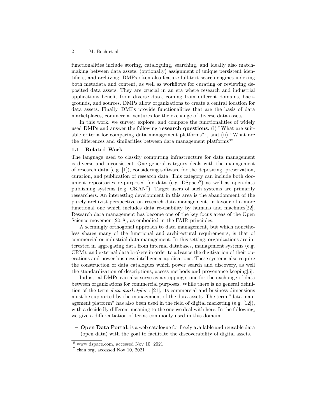#### 2 M. Boch et al.

functionalities include storing, cataloguing, searching, and ideally also matchmaking between data assets, (optionally) assignment of unique persistent identifiers, and archiving. DMPs often also feature full-text search engines indexing both metadata and content, as well as workflows for curating or reviewing deposited data assets. They are crucial in an era where research and industrial applications benefit from diverse data, coming from different domains, backgrounds, and sources. DMPs allow organizations to create a central location for data assets. Finally, DMPs provide functionalities that are the basis of data marketplaces, commercial ventures for the exchange of diverse data assets.

In this work, we survey, explore, and compare the functionalities of widely used DMPs and answer the following research questions: (i) "What are suitable criteria for comparing data management platforms?", and (ii) "What are the differences and similarities between data management platforms?"

#### 1.1 Related Work

The language used to classify computing infrastructure for data management is diverse and inconsistent. One general category deals with the management of research data (e.g. [1]), considering software for the depositing, preservation, curation, and publication of research data. This category can include both document repositories re-purposed for data (e.g.  $DSpace^6$ ) as well as open-data publishing systems (e.g. CKAN<sup>7</sup>). Target users of such systems are primarily researchers. An interesting development in this area is the abandonment of the purely archivist perspective on research data management, in favour of a more functional one which includes data re-usability by humans and machines[22]. Research data management has become one of the key focus areas of the Open Science movement [20, 8], as embodied in the FAIR principles.

A seemingly orthogonal approach to data management, but which nonetheless shares many of the functional and architectural requirements, is that of commercial or industrial data management. In this setting, organizations are interested in aggregating data from internal databases, management systems (e.g. CRM), and external data brokers in order to advance the digitization of their operations and power business intelligence applications. These systems also require the construction of data catalogues which power search and discovery, as well the standardization of descriptions, access methods and provenance keeping[5].

Industrial DMPs can also serve as a stepping stone for the exchange of data between organizations for commercial purposes. While there is no general definition of the term data marketplace [21], its commercial and business dimensions must be supported by the management of the data assets. The term "data management platform" has also been used in the field of digital marketing (e.g. [12]), with a decidedly different meaning to the one we deal with here. In the following, we give a differentiation of terms commonly used in this domain:

– Open Data Portal: is a web catalogue for freely available and reusable data (open data) with the goal to facilitate the discoverability of digital assets.

 $6$  www.dspace.com, accessed Nov 10, 2021

<sup>7</sup> ckan.org, accessed Nov 10, 2021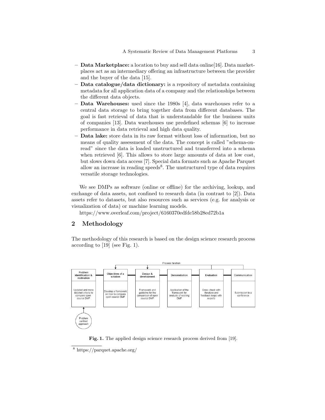- $-$  Data Marketplace: a location to buy and sell data online [16]. Data marketplaces act as an intermediary offering an infrastructure between the provider and the buyer of the data [15].
- Data catalogue/data dictionary: is a repository of metadata containing metadata for all application data of a company and the relationships between the different data objects.
- Data Warehouses: used since the 1980s [4], data warehouses refer to a central data storage to bring together data from different databases. The goal is fast retrieval of data that is understandable for the business units of companies [13]. Data warehouses use predefined schemas [6] to increase performance in data retrieval and high data quality.
- Data lake: store data in its raw format without loss of information, but no means of quality assessment of the data. The concept is called "schema-onread" since the data is loaded unstructured and transferred into a schema when retrieved [6]. This allows to store large amounts of data at low cost, but slows down data access [7]. Special data formats such as Apache Parquet allow an increase in reading speeds<sup>8</sup>. The unstructured type of data requires versatile storage technologies.

We see DMPs as software (online or offline) for the archiving, lookup, and exchange of data assets, not confined to research data (in contrast to [2]). Data assets refer to datasets, but also resources such as services (e.g. for analysis or visualization of data) or machine learning models.

https://www.overleaf.com/project/6160370edfdc58b28ed72b1a

#### 2 Methodology

The methodology of this research is based on the design science research process according to [19] (see Fig. 1).



Fig. 1. The applied design science research process derived from [19].

<sup>8</sup> https://parquet.apache.org/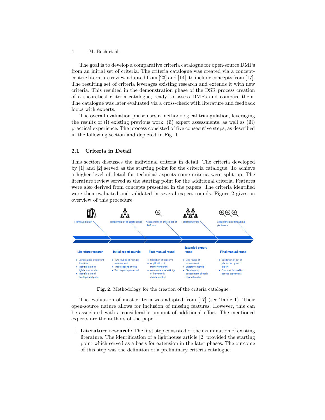4 M. Boch et al.

The goal is to develop a comparative criteria catalogue for open-source DMPs from an initial set of criteria. The criteria catalogue was created via a conceptcentric literature review adapted from [23] and [14], to include concepts from [17]. The resulting set of criteria leverages existing research and extends it with new criteria. This resulted in the demonstration phase of the DSR process creation of a theoretical criteria catalogue, ready to assess DMPs and compare them. The catalogue was later evaluated via a cross-check with literature and feedback loops with experts.

The overall evaluation phase uses a methodological triangulation, leveraging the results of (i) existing previous work, (ii) expert assessments, as well as (iii) practical experience. The process consisted of five consecutive steps, as described in the following section and depicted in Fig. 1.

#### 2.1 Criteria in Detail

This section discusses the individual criteria in detail. The criteria developed by [1] and [2] served as the starting point for the criteria catalogue. To achieve a higher level of detail for technical aspects some criteria were split up. The literature review served as the starting point for the additional criteria. Features were also derived from concepts presented in the papers. The criteria identified were then evaluated and validated in several expert rounds. Figure 2 gives an overview of this procedure.



Fig. 2. Methodology for the creation of the criteria catalogue.

The evaluation of most criteria was adapted from [17] (see Table 1). Their open-source nature allows for inclusion of missing features. However, this can be associated with a considerable amount of additional effort. The mentioned experts are the authors of the paper.

1. Literature research: The first step consisted of the examination of existing literature. The identification of a lighthouse article [2] provided the starting point which served as a basis for extension in the later phases. The outcome of this step was the definition of a preliminary criteria catalogue.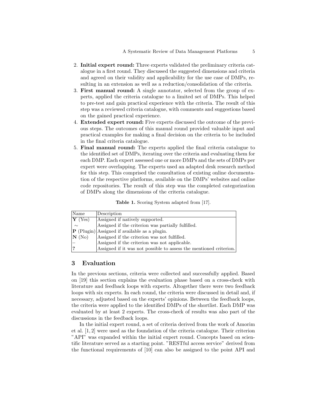- 2. Initial expert round: Three experts validated the preliminary criteria catalogue in a first round. They discussed the suggested dimensions and criteria and agreed on their validity and applicability for the use case of DMPs, resulting in an extension as well as a reduction/consolidation of the criteria.
- 3. First manual round: A single annotator, selected from the group of experts, applied the criteria catalogue to a limited set of DMPs. This helped to pre-test and gain practical experience with the criteria. The result of this step was a reviewed criteria catalogue, with comments and suggestions based on the gained practical experience.
- 4. Extended expert round: Five experts discussed the outcome of the previous steps. The outcomes of this manual round provided valuable input and practical examples for making a final decision on the criteria to be included in the final criteria catalogue.
- 5. Final manual round: The experts applied the final criteria catalogue to the identified set of DMPs, iterating over the criteria and evaluating them for each DMP. Each expert assessed one or more DMPs and the sets of DMPs per expert were overlapping. The experts used an adapted desk research method for this step. This comprised the consultation of existing online documentation of the respective platforms, available on the DMPs' websites and online code repositories. The result of this step was the completed categorization of DMPs along the dimensions of the criteria catalogue.

Table 1. Scoring System adapted from [17].

| Name                         | Description                                                        |
|------------------------------|--------------------------------------------------------------------|
| $ {\bf Y}(\gamma_{\rm es}) $ | Assigned if natively supported.                                    |
| $\sim$                       | Assigned if the criterion was partially fulfilled.                 |
|                              | $ \mathbf{P}$ (Plugin) Assigned if available as a plugin.          |
| $ N(N_0) $                   | Assigned if the criterion was not fulfilled.                       |
|                              | Assigned if the criterion was not applicable.                      |
|                              | Assigned if it was not possible to assess the mentioned criterion. |

#### 3 Evaluation

In the previous sections, criteria were collected and successfully applied. Based on [19] this section explains the evaluation phase based on a cross-check with literature and feedback loops with experts. Altogether there were two feedback loops with six experts. In each round, the criteria were discussed in detail and, if necessary, adjusted based on the experts' opinions. Between the feedback loops, the criteria were applied to the identified DMPs of the shortlist. Each DMP was evaluated by at least 2 experts. The cross-check of results was also part of the discussions in the feedback loops.

In the initial expert round, a set of criteria derived from the work of Amorim et al. [1, 2] were used as the foundation of the criteria catalogue. Their criterion "API" was expanded within the initial expert round. Concepts based on scientific literature served as a starting point. "RESTful access service" derived from the functional requirements of [10] can also be assigned to the point API and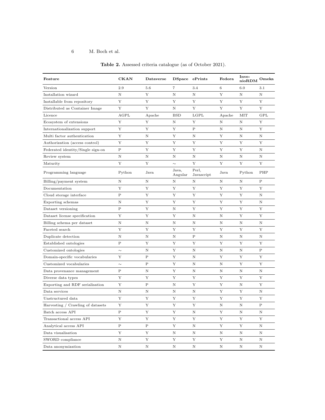#### 6 M. Boch et al.

| Feature                           | <b>CKAN</b>  | Dataverse   |                  | DSpace ePrints      | Fedora  | Inve-<br>nioRDM | Omeka        |
|-----------------------------------|--------------|-------------|------------------|---------------------|---------|-----------------|--------------|
| Version                           | 2.9          | 5.6         | $\overline{7}$   | 3.4                 | 6       | 6.0             | 3.1          |
| Installation wizard               | $\mathbf N$  | Y           | N                | $\mathbf N$         | Y       | N               | N            |
| Installable from repository       | $\mathbf Y$  | Y           | Y                | $\mathbf Y$         | Y       | Y               | Y            |
| Distributed as Container Image    | Y            | Y           | Ν                | Y                   | Y       | Y               | Υ            |
| Licence                           | AGPL         | Apache      | <b>BSD</b>       | LGPL                | Apache  | MIT             | <b>GPL</b>   |
| Ecosystem of extensions           | Y            | Y           | Ν                | Y                   | Ν       | Ν               | Y            |
| Internationalization support      | Y            | Y           | Y                | $\mathbf P$         | Ν       | N               | Υ            |
| Multi factor authentication       | Y            | $\mathbf N$ | Y                | N                   | Y       | $\rm N$         | N            |
| Authorization (access control)    | Y            | Y           | Y                | Y                   | Y       | Y               | Y            |
| Federated identity/Single sign-on | $\mathbf P$  | $\mathbf Y$ | Y                | Y                   | Y       | Y               | N            |
| Review system                     | $\rm N$      | $\mathbf N$ | N                | $\mathbf N$         | N       | $\mathbf N$     | $\mathbf N$  |
| Maturity                          | Y            | Y           | $\sim$           | Y                   | Y       | Y               | Y            |
| Programming language              | Python       | Java        | Java,<br>Angular | Perl.<br>Javascript | Java    | Python          | PHP          |
| Billing/payment system            | N            | N           | Ν                | N                   | Ν       | Ν               | $\, {\bf P}$ |
| Documentation                     | Y            | Y           | Y                | Y                   | Y       | Y               | Y            |
| Cloud storage interface           | $\mathbf P$  | Y           | Y                | Y                   | Y       | Y               | $\mathbf N$  |
| Exporting schemas                 | $\mathbf N$  | Y           | Y                | Y                   | Y       | Y               | $\mathbf N$  |
| Dataset versioning                | $\, {\bf P}$ | Y           | N                | Y                   | Y       | Y               | Y            |
| Dataset license specification     | Y            | Y           | Y                | N                   | Ν       | $\mathbf Y$     | Y            |
| Billing schema per dataset        | $\mathbf N$  | $\mathbf N$ | $\mathbf N$      | $\rm N$             | $\rm N$ | $\mathbf N$     | $\mathbf N$  |
| Faceted search                    | Y            | Y           | Y                | Y                   | Y       | Y               | Y            |
| Duplicate detection               | $\rm N$      | $\mathbf N$ | $\rm N$          | $\mathbf P$         | $\rm N$ | $\rm N$         | $\mathbf N$  |
| Established ontologies            | $\mathbf P$  | Y           | Y                | Y                   | Y       | Y               | Y            |
| Customized ontologies             | $\sim$       | $\mathbf N$ | Y                | $\mathbf N$         | $\rm N$ | $\mathbf N$     | $\mathbf P$  |
| Domain-specific vocabularies      | Y            | $\rm P$     | Y                | N                   | Y       | Y               | Y            |
| Customized vocabularies           | $\sim$       | $\mathbf P$ | Y                | $\mathbf N$         | N       | Y               | Y            |
| Data provenance management        | $\, {\bf P}$ | N           | Υ                | N                   | Ν       | N               | N            |
| Diverse data types                | Y            | Y           | Y                | Y                   | Y       | Y               | Y            |
| Exporting and RDF serialisation   | Y            | $\mathbf P$ | Ν                | Y                   | Y       | N               | Y            |
| Data services                     | N            | N           | N                | N                   | Y       | Y               | N            |
| Unstructured data                 | $\mathbf Y$  | Y           | Y                | Y                   | Y       | Y               | Y            |
| Harvesting / Crawling of datasets | Y            | Y           | Y                | Y                   | N       | $\mathbf N$     | $\mathbf P$  |
| Batch access API                  | $\mathbf P$  | Y           | Y                | $\rm N$             | Y       | $\mathbf N$     | $\mathbf N$  |
| Transactional access API          | Y            | Y           | Y                | Y                   | Y       | Y               | Y            |
| Analytical access API             | Ρ            | Ρ           | Υ                | N                   | Υ       | Y               | N            |
| Data visualisation                | $\mathbf Y$  | Y           | N                | N                   | Ν       | N               | N            |
| SWORD compliance                  | $\rm N$      | Y           | Y                | Y                   | Y       | $\mathbf N$     | $\mathbf N$  |
| Data anonymization                | $\rm N$      | N           | N                | $\rm N$             | $\rm N$ | N               | $\mathbf N$  |

Table 2. Assessed criteria catalogue (as of October 2021).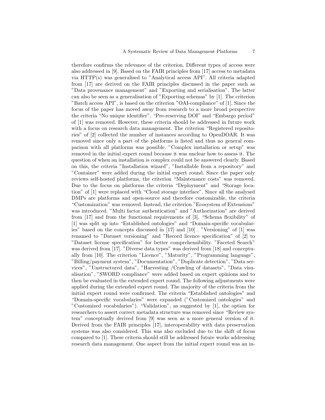therefore confirms the relevance of the criterion. Different types of access were also addressed in [9]. Based on the FAIR principles from [17] access to metadata via HTTP(s) was generalised to "Analytical access API". All criteria adapted from [17] are derived on the FAIR principles discussed in the paper such as "Data provenance management" and "Exporting and serialisation". The latter can also be seen as a generalisation of "Exporting schemas" by [1]. The criterion "Batch access API", is based on the criterion "OAI-compliance" of [1]. Since the focus of the paper has moved away from research to a more broad perspective the criteria "No unique identifier", "Pre-reserving DOI" and "Embargo period" of [1] was removed. However, these criteria should be addressed in future work with a focus on research data management. The criterion "Registered repositories" of [2] collected the number of instances according to OpenDOAR. It was removed since only a part of the platforms is listed and thus no general comparison with all platforms was possible. "Complex installation or setup" was removed in the initial expert round because it was unclear how to assess it. The question of when an installation is complex could not be answered clearly. Based on this, the criteria "Installation wizard", "Installable from a repository" and "Container" were added during the initial expert round. Since the paper only reviews self-hosted platforms, the criterion "Maintenance costs" was removed. Due to the focus on platforms the criteria "Deployment" and "Storage location" of [1] were replaced with "Cloud storage interface". Since all the analysed DMPs are platforms and open-source and therefore customizable, the criteria "Customization" was removed. Instead, the criterion "Ecosystem of Extensions" was introduced. "Multi factor authentication" and "Authorization" are derived from [17] and from the functional requirements of [3]. "Schema flexibility" of [1] was split up into "Established ontologies" and "Domain-specific vocabularies" based on the concepts discussed in [17] and [10] . "Versioning" of [1] was renamed to "Dataset versioning" and "Record licence specification" of [2] to "Dataset license specification" for better comprehensibility. "Faceted Search" was derived from [17]. "Diverse data types" was derived from [18] and conceptually from [10]. The criterion "Licence", "Maturity", "Programming language", "Billing/payment system", "Documentation", "Duplicate detection", "Data services", "Unstructured data", "Harvesting /Crawling of datasets", "Data visualisation", "SWORD compliance" were added based on expert opinions and to then be evaluated in the extended expert round. The following adjustments were applied during the extended expert round. The majority of the criteria from the initial expert round were confirmed. The criteria "Established ontologies" and "Domain-specific vocabularies" were expanded ("Customized ontologies" and "Customized vocabularies"). "Validation", as suggested by [1], the option for researchers to assert correct metadata structure was removed since "Review system" conceptually derived from [9] was seen as a more general version of it. Derived from the FAIR principles [17], interoperability with data preservation systems was also considered. This was also excluded due to the shift of focus compared to [1]. These criteria should still be addressed future works addressing research data management. One aspect from the initial expert round was an in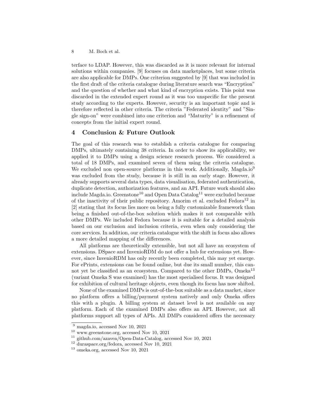terface to LDAP. However, this was discarded as it is more relevant for internal solutions within companies. [9] focuses on data marketplaces, but some criteria are also applicable for DMPs. One criterion suggested by [9] that was included in the first draft of the criteria catalogue during literature search was "Encryption" and the question of whether and what kind of encryption exists. This point was discarded in the extended expert round as it was too unspecific for the present study according to the experts. However, security is an important topic and is therefore reflected in other criteria. The criteria "Federated identity" and "Single sign-on" were combined into one criterion and "Maturity" is a refinement of concepts from the initial expert round.

#### 4 Conclusion & Future Outlook

The goal of this research was to establish a criteria catalogue for comparing DMPs, ultimately containing 38 criteria. In order to show its applicability, we applied it to DMPs using a design science research process. We considered a total of 18 DMPs, and examined seven of them using the criteria catalogue. We excluded non open-source platforms in this work. Additionally, Magda.io<sup>9</sup> was excluded from the study, because it is still in an early stage. However, it already supports several data types, data visualisation, federated authentication, duplicate detection, authorization features, and an API. Future work should also include Magda.io. Greenstone<sup>10</sup> and Open Data Catalog<sup>11</sup> were excluded because of the inactivity of their public repository. Amorim et al. excluded  $\text{Fedora}^{12}$  in [2] stating that its focus lies more on being a fully customizable framework than being a finished out-of-the-box solution which makes it not comparable with other DMPs. We included Fedora because it is suitable for a detailed analysis based on our exclusion and inclusion criteria, even when only considering the core services. In addition, our criteria catalogue with the shift in focus also allows a more detailed mapping of the differences.

All platforms are theoretically extensible, but not all have an ecosystem of extensions. DSpace and InvenioRDM do not offer a hub for extensions yet. However, since InvenioRDM has only recently been completed, this may yet emerge. For ePrints, extensions can be found online, but due its small number, this cannot yet be classified as an ecosystem. Compared to the other DMPs, Omeka<sup>13</sup> (variant Omeka S was examined) has the most specialised focus. It was designed for exhibition of cultural heritage objects, even though its focus has now shifted.

None of the examined DMPs is out-of-the-box suitable as a data market, since no platform offers a billing/payment system natively and only Omeka offers this with a plugin. A billing system at dataset level is not available on any platform. Each of the examined DMPs also offers an API. However, not all platforms support all types of APIs. All DMPs considered offers the necessary

<sup>9</sup> magda.io, accessed Nov 10, 2021

<sup>10</sup> www.greenstone.org, accessed Nov 10, 2021

<sup>11</sup> github.com/azavea/Open-Data-Catalog, accessed Nov 10, 2021

<sup>12</sup> duraspace.org/fedora, accessed Nov 10, 2021

<sup>13</sup> omeka.org, accessed Nov 10, 2021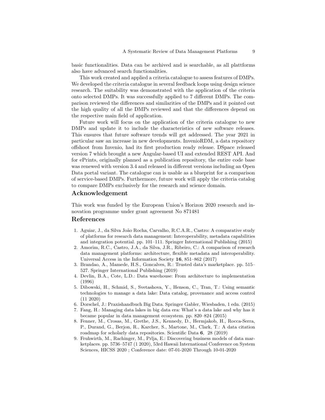basic functionalities. Data can be archived and is searchable, as all plattforms also have advanced search functionalities.

This work created and applied a criteria catalogue to assess features of DMPs. We developed the criteria catalogue in several feedback loops using design science research. The suitability was demonstrated with the application of the criteria onto selected DMPs. It was successfully applied to 7 different DMPs. The comparison reviewed the differences and similarities of the DMPs and it pointed out the high quality of all the DMPs reviewed and that the differences depend on the respective main field of application.

Future work will focus on the application of the criteria catalogue to new DMPs and update it to include the characteristics of new software releases. This ensures that future software trends will get addressed. The year 2021 in particular saw an increase in new developments. InvenioRDM, a data repository offshoot from Invenio, had its first production ready release. DSpace released version 7 which brought a new Angular-based UI and extended REST API. And for ePrints, originally planned as a publication repository, the entire code base was renewed with version 3.4 and released in different versions including an Open Data portal variant. The catalogue can is usable as a blueprint for a comparison of service-based DMPs. Furthermore, future work will apply the criteria catalog to compare DMPs exclusively for the research and science domain.

#### Acknowledgement

This work was funded by the European Union's Horizon 2020 research and innovation programme under grant agreement No 871481

#### References

- 1. Aguiar, J., da Silva João Rocha, Carvalho, R.C.A.R., Castro: A comparative study of platforms for research data management: Interoperability, metadata capabilities and integration potential. pp. 101–111. Springer International Publishing (2015)
- 2. Amorim, R.C., Castro, J.A., da Silva, J.R., Ribeiro, C.: A comparison of research data management platforms: architecture, flexible metadata and interoperability. Universal Access in the Information Society 16, 851–862 (2017)
- 3. Brandao, A., Mamede, H.S., Goncalves, R.: Trusted data's marketplace. pp. 515– 527. Springer International Publishing (2019)
- 4. Devlin, B.A., Cote, L.D.: Data warehouse: From architecture to implementation (1996)
- 5. Dibowski, H., Schmid, S., Svetashova, Y., Henson, C., Tran, T.: Using semantic technologies to manage a data lake: Data catalog, provenance and access control (11 2020)
- 6. Dorschel, J.: Praxishandbuch Big Data. Springer Gabler, Wiesbaden, 1 edn. (2015)
- 7. Fang, H.: Managing data lakes in big data era: What's a data lake and why has it became popular in data management ecosystem. pp. 820–824 (2015)
- 8. Fenner, M., Crosas, M., Grethe, J.S., Kennedy, D., Hermjakob, H., Rocca-Serra, P., Durand, G., Berjon, R., Karcher, S., Martone, M., Clark, T.: A data citation roadmap for scholarly data repositories. Scientific Data 6, 28 (2019)
- 9. Fruhwirth, M., Rachinger, M., Prlja, E.: Discovering business models of data marketplaces. pp. 5736–5747 (1 2020), 53rd Hawaii International Conference on System Sciences, HICSS 2020 ; Conference date: 07-01-2020 Through 10-01-2020